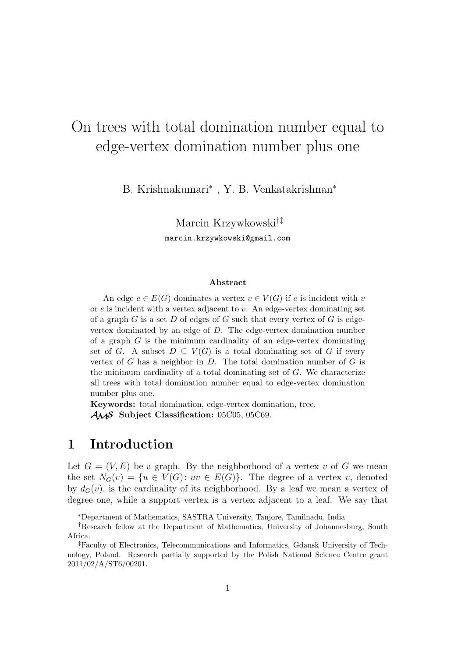# On trees with total domination number equal to edge-vertex domination number plus one

B. Krishnakumari*<sup>∗</sup>* , Y. B. Venkatakrishnan*<sup>∗</sup>*

Marcin Krzywkowski*†‡* marcin.krzywkowski@gmail.com

#### **Abstract**

An edge  $e \in E(G)$  dominates a vertex  $v \in V(G)$  if *e* is incident with *v* or *e* is incident with a vertex adjacent to *v*. An edge-vertex dominating set of a graph *G* is a set *D* of edges of *G* such that every vertex of *G* is edgevertex dominated by an edge of *D*. The edge-vertex domination number of a graph *G* is the minimum cardinality of an edge-vertex dominating set of *G*. A subset  $D \subseteq V(G)$  is a total dominating set of *G* if every vertex of *G* has a neighbor in *D*. The total domination number of *G* is the minimum cardinality of a total dominating set of *G*. We characterize all trees with total domination number equal to edge-vertex domination number plus one.

**Keywords:** total domination, edge-vertex domination, tree. *AMS* **Subject Classification:** 05C05, 05C69.

## **1 Introduction**

Let  $G = (V, E)$  be a graph. By the neighborhood of a vertex *v* of G we mean the set  $N_G(v) = \{u \in V(G): uv \in E(G)\}.$  The degree of a vertex *v*, denoted by  $d_G(v)$ , is the cardinality of its neighborhood. By a leaf we mean a vertex of degree one, while a support vertex is a vertex adjacent to a leaf. We say that

*<sup>∗</sup>*Department of Mathematics, SASTRA University, Tanjore, Tamilnadu, India

*<sup>†</sup>*Research fellow at the Department of Mathematics, University of Johannesburg, South Africa.

*<sup>‡</sup>*Faculty of Electronics, Telecommunications and Informatics, Gdansk University of Technology, Poland. Research partially supported by the Polish National Science Centre grant 2011/02/A/ST6/00201.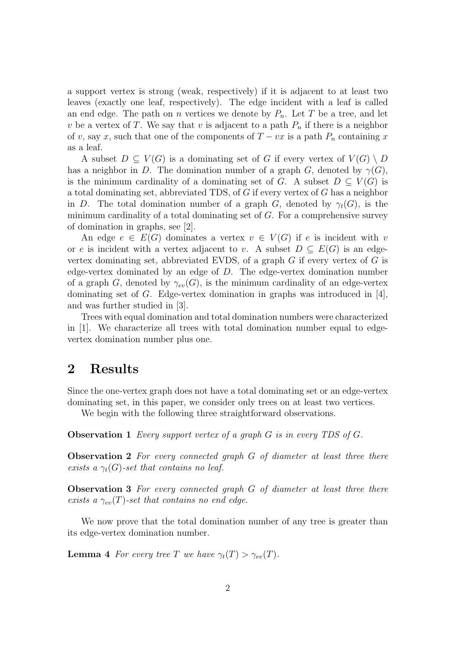a support vertex is strong (weak, respectively) if it is adjacent to at least two leaves (exactly one leaf, respectively). The edge incident with a leaf is called an end edge. The path on *n* vertices we denote by  $P_n$ . Let *T* be a tree, and let *v* be a vertex of *T*. We say that *v* is adjacent to a path  $P_n$  if there is a neighbor of *v*, say *x*, such that one of the components of  $T - vx$  is a path  $P_n$  containing *x* as a leaf.

A subset  $D \subseteq V(G)$  is a dominating set of G if every vertex of  $V(G) \setminus D$ has a neighbor in *D*. The domination number of a graph *G*, denoted by  $\gamma(G)$ , is the minimum cardinality of a dominating set of *G*. A subset  $D \subseteq V(G)$  is a total dominating set, abbreviated TDS, of *G* if every vertex of *G* has a neighbor in *D*. The total domination number of a graph *G*, denoted by  $\gamma_t(G)$ , is the minimum cardinality of a total dominating set of *G*. For a comprehensive survey of domination in graphs, see [2].

An edge  $e \in E(G)$  dominates a vertex  $v \in V(G)$  if *e* is incident with *v* or *e* is incident with a vertex adjacent to *v*. A subset  $D \subseteq E(G)$  is an edgevertex dominating set, abbreviated EVDS, of a graph *G* if every vertex of *G* is edge-vertex dominated by an edge of *D*. The edge-vertex domination number of a graph *G*, denoted by  $\gamma_{ev}(G)$ , is the minimum cardinality of an edge-vertex dominating set of *G*. Edge-vertex domination in graphs was introduced in [4], and was further studied in [3].

Trees with equal domination and total domination numbers were characterized in [1]. We characterize all trees with total domination number equal to edgevertex domination number plus one.

#### **2 Results**

Since the one-vertex graph does not have a total dominating set or an edge-vertex dominating set, in this paper, we consider only trees on at least two vertices.

We begin with the following three straightforward observations.

**Observation 1** *Every support vertex of a graph G is in every TDS of G.*

**Observation 2** *For every connected graph G of diameter at least three there exists a*  $\gamma_t(G)$ -set that contains no leaf.

**Observation 3** *For every connected graph G of diameter at least three there exists a*  $\gamma_{ev}(T)$ -set that contains no end edge.

We now prove that the total domination number of any tree is greater than its edge-vertex domination number.

**Lemma 4** *For every tree T we have*  $\gamma_t(T) > \gamma_{ev}(T)$ *.*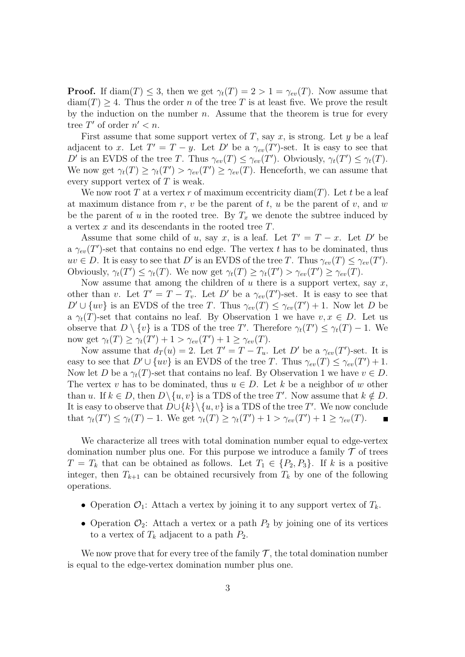**Proof.** If diam(*T*)  $\leq$  3, then we get  $\gamma_t(T) = 2 > 1 = \gamma_{ev}(T)$ . Now assume that  $diam(T) \geq 4$ . Thus the order *n* of the tree *T* is at least five. We prove the result by the induction on the number *n*. Assume that the theorem is true for every tree  $T'$  of order  $n' < n$ .

First assume that some support vertex of *T*, say *x*, is strong. Let *y* be a leaf adjacent to *x*. Let  $T' = T - y$ . Let  $D'$  be a  $\gamma_{ev}(T')$ -set. It is easy to see that *D*<sup>*′*</sup> is an EVDS of the tree *T*. Thus  $\gamma_{ev}(T) \leq \gamma_{ev}(T')$ . Obviously,  $\gamma_t(T') \leq \gamma_t(T)$ . We now get  $\gamma_t(T) \geq \gamma_t(T') > \gamma_{ev}(T') \geq \gamma_{ev}(T)$ . Henceforth, we can assume that every support vertex of *T* is weak.

We now root  $T$  at a vertex  $r$  of maximum eccentricity diam $(T)$ . Let  $t$  be a leaf at maximum distance from *r*, *v* be the parent of *t*, *u* be the parent of *v*, and *w* be the parent of *u* in the rooted tree. By  $T_x$  we denote the subtree induced by a vertex *x* and its descendants in the rooted tree *T*.

Assume that some child of *u*, say *x*, is a leaf. Let  $T' = T - x$ . Let *D'* be a  $\gamma_{ev}(T')$ -set that contains no end edge. The vertex *t* has to be dominated, thus  $uv \in D$ . It is easy to see that *D'* is an EVDS of the tree *T*. Thus  $\gamma_{ev}(T) \leq \gamma_{ev}(T')$ . Obviously,  $\gamma_t(T') \leq \gamma_t(T)$ . We now get  $\gamma_t(T) \geq \gamma_t(T') > \gamma_{ev}(T') \geq \gamma_{ev}(T)$ .

Now assume that among the children of *u* there is a support vertex, say *x*, other than *v*. Let  $T' = T - T_v$ . Let  $D'$  be a  $\gamma_{ev}(T')$ -set. It is easy to see that  $D' \cup \{uv\}$  is an EVDS of the tree *T*. Thus  $\gamma_{ev}(T) \leq \gamma_{ev}(T') + 1$ . Now let *D* be a  $\gamma_t(T)$ -set that contains no leaf. By Observation 1 we have  $v, x \in D$ . Let us observe that  $D \setminus \{v\}$  is a TDS of the tree *T'*. Therefore  $\gamma_t(T') \leq \gamma_t(T) - 1$ . We now get  $\gamma_t(T) \geq \gamma_t(T') + 1 > \gamma_{ev}(T') + 1 \geq \gamma_{ev}(T)$ .

Now assume that  $d_T(u) = 2$ . Let  $T' = T - T_u$ . Let  $D'$  be a  $\gamma_{ev}(T')$ -set. It is easy to see that  $D' \cup \{uv\}$  is an EVDS of the tree *T*. Thus  $\gamma_{ev}(T) \leq \gamma_{ev}(T') + 1$ . Now let *D* be a  $\gamma_t(T)$ -set that contains no leaf. By Observation 1 we have  $v \in D$ . The vertex *v* has to be dominated, thus  $u \in D$ . Let *k* be a neighbor of *w* other than *u*. If  $k \in D$ , then  $D \setminus \{u, v\}$  is a TDS of the tree T'. Now assume that  $k \notin D$ . It is easy to observe that *D∪{k}\{u, v}* is a TDS of the tree *T ′* . We now conclude that  $\gamma_t(T') \leq \gamma_t(T) - 1$ . We get  $\gamma_t(T) \geq \gamma_t(T') + 1 > \gamma_{ev}(T') + 1 \geq \gamma_{ev}(T)$ .  $\blacksquare$ 

We characterize all trees with total domination number equal to edge-vertex domination number plus one. For this purpose we introduce a family  $\mathcal T$  of trees  $T = T_k$  that can be obtained as follows. Let  $T_1 \in \{P_2, P_3\}$ . If *k* is a positive integer, then  $T_{k+1}$  can be obtained recursively from  $T_k$  by one of the following operations.

- Operation  $\mathcal{O}_1$ : Attach a vertex by joining it to any support vertex of  $T_k$ .
- Operation  $\mathcal{O}_2$ : Attach a vertex or a path  $P_2$  by joining one of its vertices to a vertex of  $T_k$  adjacent to a path  $P_2$ .

We now prove that for every tree of the family  $\mathcal{T}$ , the total domination number is equal to the edge-vertex domination number plus one.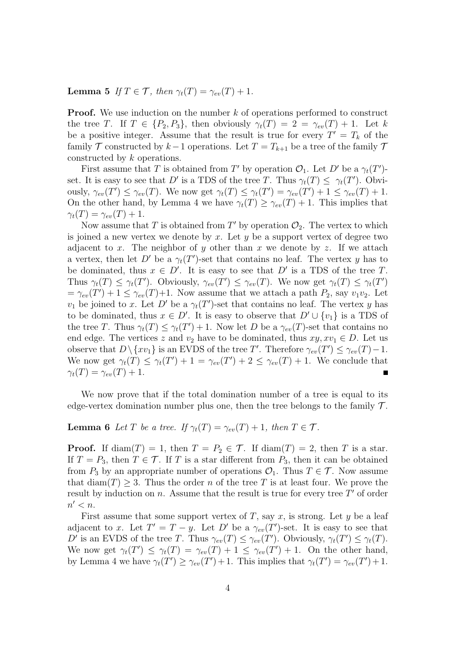**Lemma 5** *If*  $T \in \mathcal{T}$ *, then*  $\gamma_t(T) = \gamma_{ev}(T) + 1$ *.* 

**Proof.** We use induction on the number *k* of operations performed to construct the tree *T*. If  $T \in \{P_2, P_3\}$ , then obviously  $\gamma_t(T) = 2 = \gamma_{ev}(T) + 1$ . Let k be a positive integer. Assume that the result is true for every  $T' = T_k$  of the family *T* constructed by *k−*1 operations. Let *T* = *Tk*+1 be a tree of the family *T* constructed by *k* operations.

First assume that *T* is obtained from *T'* by operation  $\mathcal{O}_1$ . Let *D'* be a  $\gamma_t(T')$ set. It is easy to see that *D'* is a TDS of the tree *T*. Thus  $\gamma_t(T) \leq \gamma_t(T')$ . Obviously,  $\gamma_{ev}(T') \leq \gamma_{ev}(T)$ . We now get  $\gamma_t(T) \leq \gamma_t(T') = \gamma_{ev}(T') + 1 \leq \gamma_{ev}(T) + 1$ . On the other hand, by Lemma 4 we have  $\gamma_t(T) \geq \gamma_{ev}(T) + 1$ . This implies that  $\gamma_t(T) = \gamma_{ev}(T) + 1.$ 

Now assume that *T* is obtained from  $T'$  by operation  $\mathcal{O}_2$ . The vertex to which is joined a new vertex we denote by *x*. Let *y* be a support vertex of degree two adjacent to *x*. The neighbor of *y* other than *x* we denote by *z*. If we attach a vertex, then let  $D'$  be a  $\gamma_t(T')$ -set that contains no leaf. The vertex *y* has to be dominated, thus  $x \in D'$ . It is easy to see that  $D'$  is a TDS of the tree T. Thus  $\gamma_t(T) \leq \gamma_t(T')$ . Obviously,  $\gamma_{ev}(T') \leq \gamma_{ev}(T)$ . We now get  $\gamma_t(T) \leq \gamma_t(T')$  $= \gamma_{ev}(T') + 1 \leq \gamma_{ev}(T) + 1$ . Now assume that we attach a path  $P_2$ , say  $v_1v_2$ . Let *v*<sub>1</sub> be joined to *x*. Let *D'* be a  $\gamma_t(T')$ -set that contains no leaf. The vertex *y* has to be dominated, thus  $x \in D'$ . It is easy to observe that  $D' \cup \{v_1\}$  is a TDS of the tree *T*. Thus  $\gamma_t(T) \leq \gamma_t(T') + 1$ . Now let *D* be a  $\gamma_{ev}(T)$ -set that contains no end edge. The vertices *z* and  $v_2$  have to be dominated, thus  $xy, xv_1 \in D$ . Let us observe that  $D \setminus \{xv_1\}$  is an EVDS of the tree *T'*. Therefore  $\gamma_{ev}(T') \leq \gamma_{ev}(T) - 1$ . We now get  $\gamma_t(T) \leq \gamma_t(T') + 1 = \gamma_{ev}(T') + 2 \leq \gamma_{ev}(T) + 1$ . We conclude that  $\gamma_t(T) = \gamma_{ev}(T) + 1.$ 

We now prove that if the total domination number of a tree is equal to its edge-vertex domination number plus one, then the tree belongs to the family  $\mathcal{T}$ .

### **Lemma 6** *Let T be a tree.* If  $\gamma_t(T) = \gamma_{ev}(T) + 1$ , then  $T \in \mathcal{T}$ .

**Proof.** If diam(*T*) = 1, then  $T = P_2 \in \mathcal{T}$ . If diam(*T*) = 2, then *T* is a star. If  $T = P_3$ , then  $T \in \mathcal{T}$ . If *T* is a star different from  $P_3$ , then it can be obtained from  $P_3$  by an appropriate number of operations  $\mathcal{O}_1$ . Thus  $T \in \mathcal{T}$ . Now assume that  $\text{diam}(T) \geq 3$ . Thus the order *n* of the tree *T* is at least four. We prove the result by induction on *n*. Assume that the result is true for every tree *T ′* of order *n ′ < n*.

First assume that some support vertex of  $T$ , say  $x$ , is strong. Let  $y$  be a leaf adjacent to *x*. Let  $T' = T - y$ . Let  $D'$  be a  $\gamma_{ev}(T')$ -set. It is easy to see that *D*<sup>*′*</sup> is an EVDS of the tree *T*. Thus  $\gamma_{ev}(T) \leq \gamma_{ev}(T')$ . Obviously,  $\gamma_t(T') \leq \gamma_t(T)$ . We now get  $\gamma_t(T') \leq \gamma_t(T) = \gamma_{ev}(T) + 1 \leq \gamma_{ev}(T') + 1$ . On the other hand, by Lemma 4 we have  $\gamma_t(T') \geq \gamma_{ev}(T') + 1$ . This implies that  $\gamma_t(T') = \gamma_{ev}(T') + 1$ .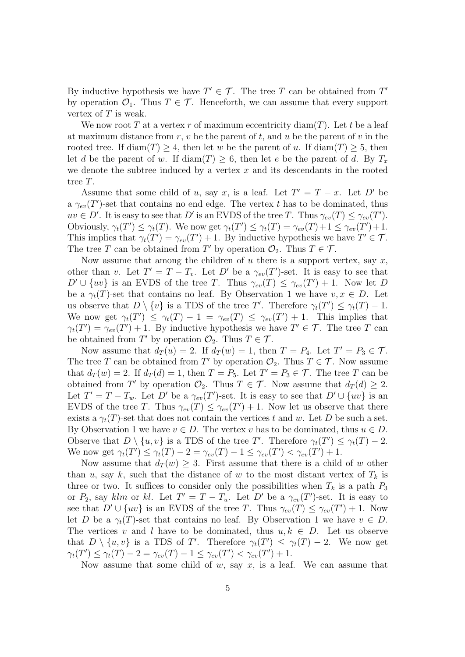By inductive hypothesis we have  $T' \in \mathcal{T}$ . The tree *T* can be obtained from *T'* by operation  $\mathcal{O}_1$ . Thus  $T \in \mathcal{T}$ . Henceforth, we can assume that every support vertex of *T* is weak.

We now root  $T$  at a vertex  $r$  of maximum eccentricity diam $(T)$ . Let  $t$  be a leaf at maximum distance from *r*, *v* be the parent of *t*, and *u* be the parent of *v* in the rooted tree. If  $\text{diam}(T) \geq 4$ , then let *w* be the parent of *u*. If  $\text{diam}(T) \geq 5$ , then let *d* be the parent of *w*. If diam(*T*)  $> 6$ , then let *e* be the parent of *d*. By  $T_x$ we denote the subtree induced by a vertex *x* and its descendants in the rooted tree *T*.

Assume that some child of *u*, say *x*, is a leaf. Let  $T' = T - x$ . Let *D'* be a  $\gamma_{ev}(T')$ -set that contains no end edge. The vertex *t* has to be dominated, thus  $uv \in D'$ . It is easy to see that *D'* is an EVDS of the tree *T*. Thus  $\gamma_{ev}(T) \leq \gamma_{ev}(T')$ . Obviously,  $\gamma_t(T') \leq \gamma_t(T)$ . We now get  $\gamma_t(T') \leq \gamma_t(T) = \gamma_{ev}(T) + 1 \leq \gamma_{ev}(T') + 1$ . This implies that  $\gamma_t(T') = \gamma_{ev}(T') + 1$ . By inductive hypothesis we have  $T' \in \mathcal{T}$ . The tree *T* can be obtained from *T'* by operation  $\mathcal{O}_2$ . Thus  $T \in \mathcal{T}$ .

Now assume that among the children of *u* there is a support vertex, say *x*, other than *v*. Let  $T' = T - T_v$ . Let  $D'$  be a  $\gamma_{ev}(T')$ -set. It is easy to see that  $D' \cup \{uv\}$  is an EVDS of the tree *T*. Thus  $\gamma_{ev}(T) \leq \gamma_{ev}(T') + 1$ . Now let *D* be a  $\gamma_t(T)$ -set that contains no leaf. By Observation 1 we have  $v, x \in D$ . Let us observe that  $D \setminus \{v\}$  is a TDS of the tree *T'*. Therefore  $\gamma_t(T') \leq \gamma_t(T) - 1$ . We now get  $\gamma_t(T') \leq \gamma_t(T) - 1 = \gamma_{ev}(T) \leq \gamma_{ev}(T') + 1$ . This implies that  $\gamma_t(T') = \gamma_{ev}(T') + 1$ . By inductive hypothesis we have  $T' \in \mathcal{T}$ . The tree *T* can be obtained from  $T'$  by operation  $\mathcal{O}_2$ . Thus  $T \in \mathcal{T}$ .

Now assume that  $d_T(u) = 2$ . If  $d_T(w) = 1$ , then  $T = P_4$ . Let  $T' = P_3 \in \mathcal{T}$ . The tree *T* can be obtained from *T'* by operation  $\mathcal{O}_2$ . Thus  $T \in \mathcal{T}$ . Now assume that  $d_T(w) = 2$ . If  $d_T(d) = 1$ , then  $T = P_5$ . Let  $T' = P_3 \in \mathcal{T}$ . The tree *T* can be obtained from *T'* by operation  $\mathcal{O}_2$ . Thus  $T \in \mathcal{T}$ . Now assume that  $d_T(d) \geq 2$ . Let  $T' = T - T_w$ . Let  $D'$  be a  $\gamma_{ev}(T')$ -set. It is easy to see that  $D' \cup \{uv\}$  is an EVDS of the tree *T*. Thus  $\gamma_{ev}(T) \leq \gamma_{ev}(T') + 1$ . Now let us observe that there exists a  $\gamma_t(T)$ -set that does not contain the vertices *t* and *w*. Let *D* be such a set. By Observation 1 we have  $v \in D$ . The vertex *v* has to be dominated, thus  $u \in D$ . Observe that  $D \setminus \{u, v\}$  is a TDS of the tree *T'*. Therefore  $\gamma_t(T') \leq \gamma_t(T) - 2$ . We now get  $\gamma_t(T') \leq \gamma_t(T) - 2 = \gamma_{ev}(T) - 1 \leq \gamma_{ev}(T') < \gamma_{ev}(T') + 1$ .

Now assume that  $d_T(w) \geq 3$ . First assume that there is a child of *w* other than *u*, say *k*, such that the distance of *w* to the most distant vertex of  $T_k$  is three or two. It suffices to consider only the possibilities when  $T_k$  is a path  $P_3$ or  $P_2$ , say *klm* or *kl*. Let  $T' = T - T_u$ . Let  $D'$  be a  $\gamma_{ev}(T')$ -set. It is easy to see that  $D' \cup \{uv\}$  is an EVDS of the tree *T*. Thus  $\gamma_{ev}(T) \leq \gamma_{ev}(T') + 1$ . Now let *D* be a  $\gamma_t(T)$ -set that contains no leaf. By Observation 1 we have  $v \in D$ . The vertices *v* and *l* have to be dominated, thus  $u, k \in D$ . Let us observe that  $D \setminus \{u, v\}$  is a TDS of *T'*. Therefore  $\gamma_t(T') \leq \gamma_t(T) - 2$ . We now get  $\gamma_t(T') \leq \gamma_t(T) - 2 = \gamma_{ev}(T) - 1 \leq \gamma_{ev}(T') < \gamma_{ev}(T') + 1.$ 

Now assume that some child of  $w$ , say  $x$ , is a leaf. We can assume that